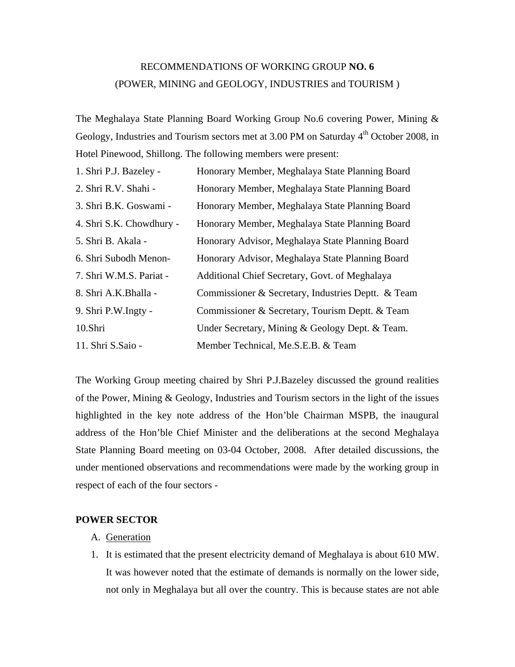# RECOMMENDATIONS OF WORKING GROUP **NO. 6** (POWER, MINING and GEOLOGY, INDUSTRIES and TOURISM )

The Meghalaya State Planning Board Working Group No.6 covering Power, Mining & Geology, Industries and Tourism sectors met at 3.00 PM on Saturday 4<sup>th</sup> October 2008, in Hotel Pinewood, Shillong. The following members were present:

| 1. Shri P.J. Bazeley -   | Honorary Member, Meghalaya State Planning Board    |
|--------------------------|----------------------------------------------------|
| 2. Shri R.V. Shahi -     | Honorary Member, Meghalaya State Planning Board    |
| 3. Shri B.K. Goswami -   | Honorary Member, Meghalaya State Planning Board    |
| 4. Shri S.K. Chowdhury - | Honorary Member, Meghalaya State Planning Board    |
| 5. Shri B. Akala -       | Honorary Advisor, Meghalaya State Planning Board   |
| 6. Shri Subodh Menon-    | Honorary Advisor, Meghalaya State Planning Board   |
| 7. Shri W.M.S. Pariat -  | Additional Chief Secretary, Govt. of Meghalaya     |
| 8. Shri A.K.Bhalla -     | Commissioner & Secretary, Industries Deptt. & Team |
| 9. Shri P.W.Ingty -      | Commissioner & Secretary, Tourism Deptt. & Team    |
| 10.Shri                  | Under Secretary, Mining & Geology Dept. & Team.    |
| 11. Shri S.Saio -        | Member Technical, Me.S.E.B. & Team                 |

The Working Group meeting chaired by Shri P.J.Bazeley discussed the ground realities of the Power, Mining & Geology, Industries and Tourism sectors in the light of the issues highlighted in the key note address of the Hon'ble Chairman MSPB, the inaugural address of the Hon'ble Chief Minister and the deliberations at the second Meghalaya State Planning Board meeting on 03-04 October, 2008. After detailed discussions, the under mentioned observations and recommendations were made by the working group in respect of each of the four sectors -

# **POWER SECTOR**

- A. Generation
- 1. It is estimated that the present electricity demand of Meghalaya is about 610 MW. It was however noted that the estimate of demands is normally on the lower side, not only in Meghalaya but all over the country. This is because states are not able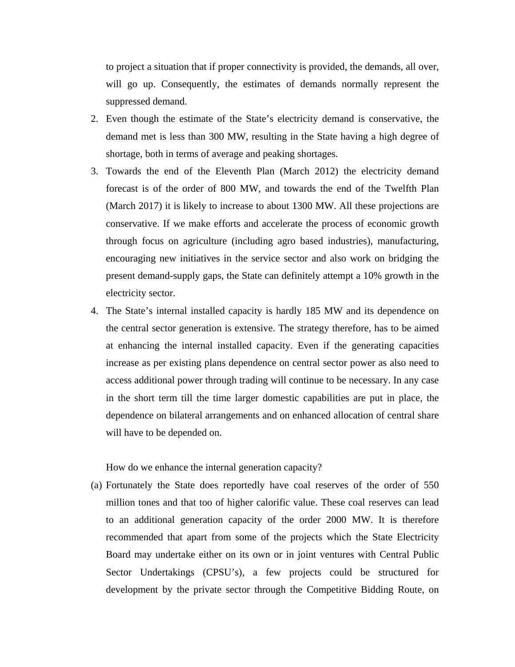to project a situation that if proper connectivity is provided, the demands, all over, will go up. Consequently, the estimates of demands normally represent the suppressed demand.

- 2. Even though the estimate of the State's electricity demand is conservative, the demand met is less than 300 MW, resulting in the State having a high degree of shortage, both in terms of average and peaking shortages.
- 3. Towards the end of the Eleventh Plan (March 2012) the electricity demand forecast is of the order of 800 MW, and towards the end of the Twelfth Plan (March 2017) it is likely to increase to about 1300 MW. All these projections are conservative. If we make efforts and accelerate the process of economic growth through focus on agriculture (including agro based industries), manufacturing, encouraging new initiatives in the service sector and also work on bridging the present demand-supply gaps, the State can definitely attempt a 10% growth in the electricity sector.
- 4. The State's internal installed capacity is hardly 185 MW and its dependence on the central sector generation is extensive. The strategy therefore, has to be aimed at enhancing the internal installed capacity. Even if the generating capacities increase as per existing plans dependence on central sector power as also need to access additional power through trading will continue to be necessary. In any case in the short term till the time larger domestic capabilities are put in place, the dependence on bilateral arrangements and on enhanced allocation of central share will have to be depended on.

How do we enhance the internal generation capacity?

(a) Fortunately the State does reportedly have coal reserves of the order of 550 million tones and that too of higher calorific value. These coal reserves can lead to an additional generation capacity of the order 2000 MW. It is therefore recommended that apart from some of the projects which the State Electricity Board may undertake either on its own or in joint ventures with Central Public Sector Undertakings (CPSU's), a few projects could be structured for development by the private sector through the Competitive Bidding Route, on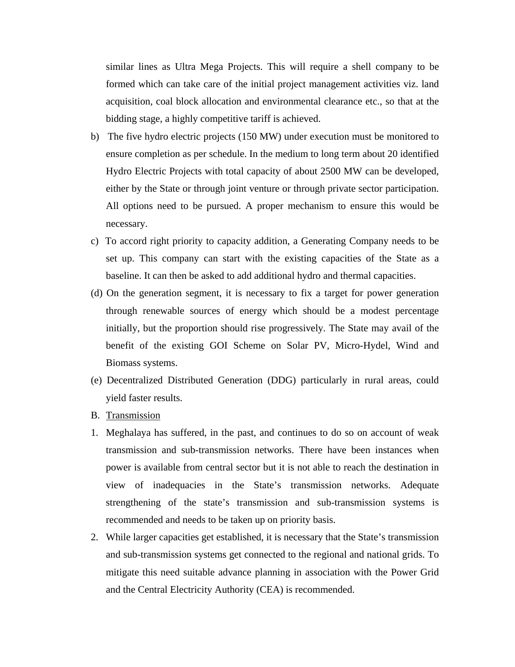similar lines as Ultra Mega Projects. This will require a shell company to be formed which can take care of the initial project management activities viz. land acquisition, coal block allocation and environmental clearance etc., so that at the bidding stage, a highly competitive tariff is achieved.

- b) The five hydro electric projects (150 MW) under execution must be monitored to ensure completion as per schedule. In the medium to long term about 20 identified Hydro Electric Projects with total capacity of about 2500 MW can be developed, either by the State or through joint venture or through private sector participation. All options need to be pursued. A proper mechanism to ensure this would be necessary.
- c) To accord right priority to capacity addition, a Generating Company needs to be set up. This company can start with the existing capacities of the State as a baseline. It can then be asked to add additional hydro and thermal capacities.
- (d) On the generation segment, it is necessary to fix a target for power generation through renewable sources of energy which should be a modest percentage initially, but the proportion should rise progressively. The State may avail of the benefit of the existing GOI Scheme on Solar PV, Micro-Hydel, Wind and Biomass systems.
- (e) Decentralized Distributed Generation (DDG) particularly in rural areas, could yield faster results.
- B. Transmission
- 1. Meghalaya has suffered, in the past, and continues to do so on account of weak transmission and sub-transmission networks. There have been instances when power is available from central sector but it is not able to reach the destination in view of inadequacies in the State's transmission networks. Adequate strengthening of the state's transmission and sub-transmission systems is recommended and needs to be taken up on priority basis.
- 2. While larger capacities get established, it is necessary that the State's transmission and sub-transmission systems get connected to the regional and national grids. To mitigate this need suitable advance planning in association with the Power Grid and the Central Electricity Authority (CEA) is recommended.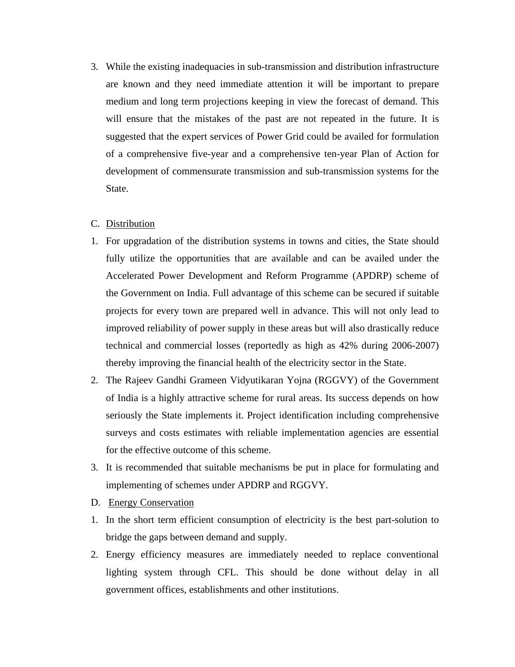3. While the existing inadequacies in sub-transmission and distribution infrastructure are known and they need immediate attention it will be important to prepare medium and long term projections keeping in view the forecast of demand. This will ensure that the mistakes of the past are not repeated in the future. It is suggested that the expert services of Power Grid could be availed for formulation of a comprehensive five-year and a comprehensive ten-year Plan of Action for development of commensurate transmission and sub-transmission systems for the State.

# C. Distribution

- 1. For upgradation of the distribution systems in towns and cities, the State should fully utilize the opportunities that are available and can be availed under the Accelerated Power Development and Reform Programme (APDRP) scheme of the Government on India. Full advantage of this scheme can be secured if suitable projects for every town are prepared well in advance. This will not only lead to improved reliability of power supply in these areas but will also drastically reduce technical and commercial losses (reportedly as high as 42% during 2006-2007) thereby improving the financial health of the electricity sector in the State.
- 2. The Rajeev Gandhi Grameen Vidyutikaran Yojna (RGGVY) of the Government of India is a highly attractive scheme for rural areas. Its success depends on how seriously the State implements it. Project identification including comprehensive surveys and costs estimates with reliable implementation agencies are essential for the effective outcome of this scheme.
- 3. It is recommended that suitable mechanisms be put in place for formulating and implementing of schemes under APDRP and RGGVY.
- D. Energy Conservation
- 1. In the short term efficient consumption of electricity is the best part-solution to bridge the gaps between demand and supply.
- 2. Energy efficiency measures are immediately needed to replace conventional lighting system through CFL. This should be done without delay in all government offices, establishments and other institutions.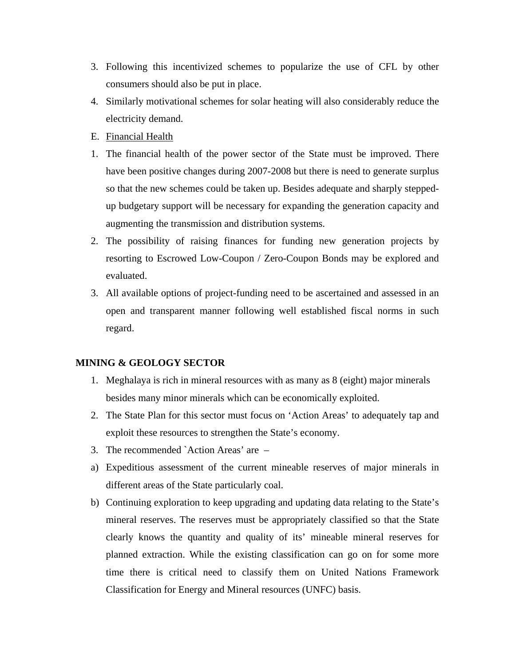- 3. Following this incentivized schemes to popularize the use of CFL by other consumers should also be put in place.
- 4. Similarly motivational schemes for solar heating will also considerably reduce the electricity demand.
- E. Financial Health
- 1. The financial health of the power sector of the State must be improved. There have been positive changes during 2007-2008 but there is need to generate surplus so that the new schemes could be taken up. Besides adequate and sharply steppedup budgetary support will be necessary for expanding the generation capacity and augmenting the transmission and distribution systems.
- 2. The possibility of raising finances for funding new generation projects by resorting to Escrowed Low-Coupon / Zero-Coupon Bonds may be explored and evaluated.
- 3. All available options of project-funding need to be ascertained and assessed in an open and transparent manner following well established fiscal norms in such regard.

# **MINING & GEOLOGY SECTOR**

- 1. Meghalaya is rich in mineral resources with as many as 8 (eight) major minerals besides many minor minerals which can be economically exploited.
- 2. The State Plan for this sector must focus on 'Action Areas' to adequately tap and exploit these resources to strengthen the State's economy.
- 3. The recommended `Action Areas' are –
- a) Expeditious assessment of the current mineable reserves of major minerals in different areas of the State particularly coal.
- b) Continuing exploration to keep upgrading and updating data relating to the State's mineral reserves. The reserves must be appropriately classified so that the State clearly knows the quantity and quality of its' mineable mineral reserves for planned extraction. While the existing classification can go on for some more time there is critical need to classify them on United Nations Framework Classification for Energy and Mineral resources (UNFC) basis.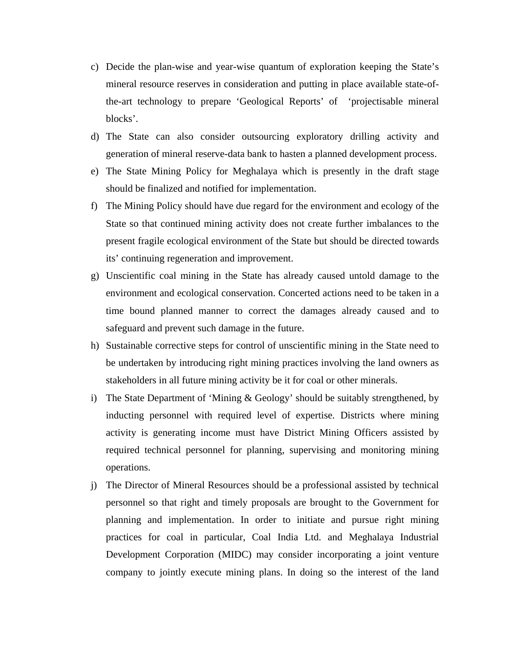- c) Decide the plan-wise and year-wise quantum of exploration keeping the State's mineral resource reserves in consideration and putting in place available state-ofthe-art technology to prepare 'Geological Reports' of 'projectisable mineral blocks'.
- d) The State can also consider outsourcing exploratory drilling activity and generation of mineral reserve-data bank to hasten a planned development process.
- e) The State Mining Policy for Meghalaya which is presently in the draft stage should be finalized and notified for implementation.
- f) The Mining Policy should have due regard for the environment and ecology of the State so that continued mining activity does not create further imbalances to the present fragile ecological environment of the State but should be directed towards its' continuing regeneration and improvement.
- g) Unscientific coal mining in the State has already caused untold damage to the environment and ecological conservation. Concerted actions need to be taken in a time bound planned manner to correct the damages already caused and to safeguard and prevent such damage in the future.
- h) Sustainable corrective steps for control of unscientific mining in the State need to be undertaken by introducing right mining practices involving the land owners as stakeholders in all future mining activity be it for coal or other minerals.
- i) The State Department of 'Mining & Geology' should be suitably strengthened, by inducting personnel with required level of expertise. Districts where mining activity is generating income must have District Mining Officers assisted by required technical personnel for planning, supervising and monitoring mining operations.
- j) The Director of Mineral Resources should be a professional assisted by technical personnel so that right and timely proposals are brought to the Government for planning and implementation. In order to initiate and pursue right mining practices for coal in particular, Coal India Ltd. and Meghalaya Industrial Development Corporation (MIDC) may consider incorporating a joint venture company to jointly execute mining plans. In doing so the interest of the land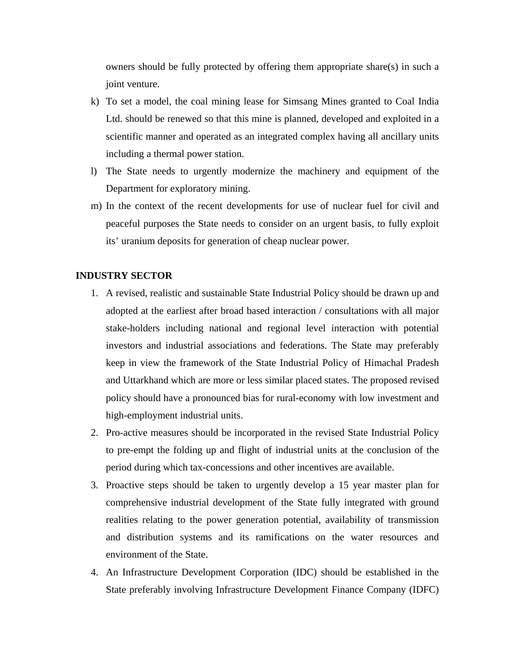owners should be fully protected by offering them appropriate share(s) in such a joint venture.

- k) To set a model, the coal mining lease for Simsang Mines granted to Coal India Ltd. should be renewed so that this mine is planned, developed and exploited in a scientific manner and operated as an integrated complex having all ancillary units including a thermal power station.
- l) The State needs to urgently modernize the machinery and equipment of the Department for exploratory mining.
- m) In the context of the recent developments for use of nuclear fuel for civil and peaceful purposes the State needs to consider on an urgent basis, to fully exploit its' uranium deposits for generation of cheap nuclear power.

# **INDUSTRY SECTOR**

- 1. A revised, realistic and sustainable State Industrial Policy should be drawn up and adopted at the earliest after broad based interaction / consultations with all major stake-holders including national and regional level interaction with potential investors and industrial associations and federations. The State may preferably keep in view the framework of the State Industrial Policy of Himachal Pradesh and Uttarkhand which are more or less similar placed states. The proposed revised policy should have a pronounced bias for rural-economy with low investment and high-employment industrial units.
- 2. Pro-active measures should be incorporated in the revised State Industrial Policy to pre-empt the folding up and flight of industrial units at the conclusion of the period during which tax-concessions and other incentives are available.
- 3. Proactive steps should be taken to urgently develop a 15 year master plan for comprehensive industrial development of the State fully integrated with ground realities relating to the power generation potential, availability of transmission and distribution systems and its ramifications on the water resources and environment of the State.
- 4. An Infrastructure Development Corporation (IDC) should be established in the State preferably involving Infrastructure Development Finance Company (IDFC)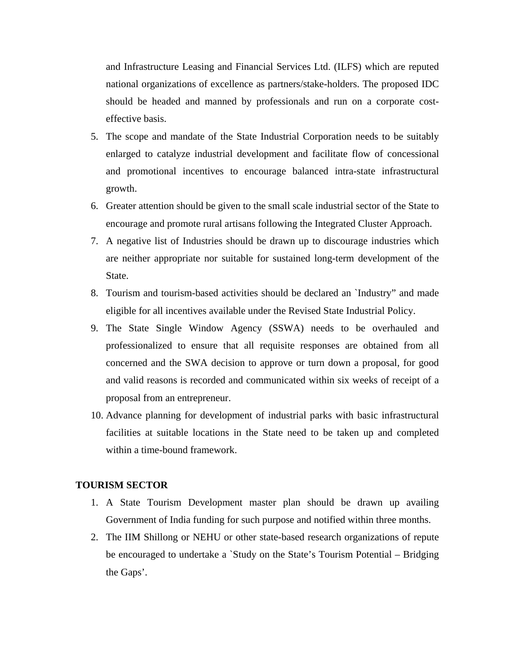and Infrastructure Leasing and Financial Services Ltd. (ILFS) which are reputed national organizations of excellence as partners/stake-holders. The proposed IDC should be headed and manned by professionals and run on a corporate costeffective basis.

- 5. The scope and mandate of the State Industrial Corporation needs to be suitably enlarged to catalyze industrial development and facilitate flow of concessional and promotional incentives to encourage balanced intra-state infrastructural growth.
- 6. Greater attention should be given to the small scale industrial sector of the State to encourage and promote rural artisans following the Integrated Cluster Approach.
- 7. A negative list of Industries should be drawn up to discourage industries which are neither appropriate nor suitable for sustained long-term development of the State.
- 8. Tourism and tourism-based activities should be declared an `Industry" and made eligible for all incentives available under the Revised State Industrial Policy.
- 9. The State Single Window Agency (SSWA) needs to be overhauled and professionalized to ensure that all requisite responses are obtained from all concerned and the SWA decision to approve or turn down a proposal, for good and valid reasons is recorded and communicated within six weeks of receipt of a proposal from an entrepreneur.
- 10. Advance planning for development of industrial parks with basic infrastructural facilities at suitable locations in the State need to be taken up and completed within a time-bound framework.

#### **TOURISM SECTOR**

- 1. A State Tourism Development master plan should be drawn up availing Government of India funding for such purpose and notified within three months.
- 2. The IIM Shillong or NEHU or other state-based research organizations of repute be encouraged to undertake a `Study on the State's Tourism Potential – Bridging the Gaps'.